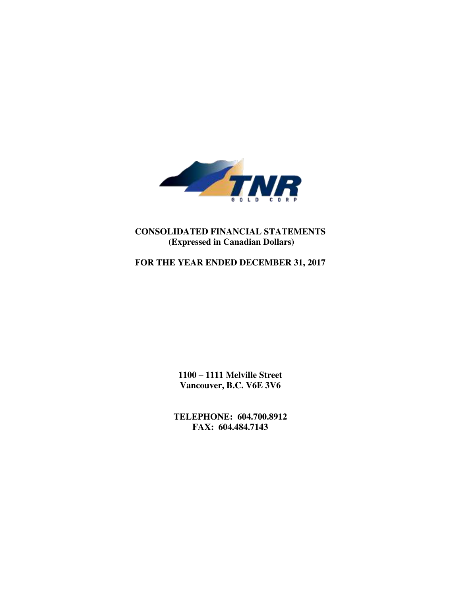

# **CONSOLIDATED FINANCIAL STATEMENTS (Expressed in Canadian Dollars)**

# **FOR THE YEAR ENDED DECEMBER 31, 2017**

**1100 – 1111 Melville Street Vancouver, B.C. V6E 3V6** 

**TELEPHONE: 604.700.8912 FAX: 604.484.7143**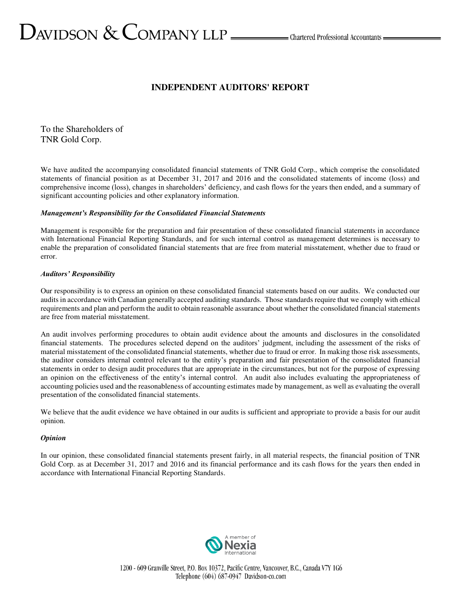# $\sum$ AVIDSON  $\&$  COMPANY LLP  $\_\_\_\_\$ Chartered Professional Accountants  $\_\_\_\$

## **INDEPENDENT AUDITORS' REPORT**

To the Shareholders of TNR Gold Corp.

We have audited the accompanying consolidated financial statements of TNR Gold Corp., which comprise the consolidated statements of financial position as at December 31, 2017 and 2016 and the consolidated statements of income (loss) and comprehensive income (loss), changes in shareholders' deficiency, and cash flows for the years then ended, and a summary of significant accounting policies and other explanatory information.

## *Management's Responsibility for the Consolidated Financial Statements*

Management is responsible for the preparation and fair presentation of these consolidated financial statements in accordance with International Financial Reporting Standards, and for such internal control as management determines is necessary to enable the preparation of consolidated financial statements that are free from material misstatement, whether due to fraud or error.

## *Auditors' Responsibility*

Our responsibility is to express an opinion on these consolidated financial statements based on our audits. We conducted our audits in accordance with Canadian generally accepted auditing standards. Those standards require that we comply with ethical requirements and plan and perform the audit to obtain reasonable assurance about whether the consolidated financial statements are free from material misstatement.

An audit involves performing procedures to obtain audit evidence about the amounts and disclosures in the consolidated financial statements. The procedures selected depend on the auditors' judgment, including the assessment of the risks of material misstatement of the consolidated financial statements, whether due to fraud or error. In making those risk assessments, the auditor considers internal control relevant to the entity's preparation and fair presentation of the consolidated financial statements in order to design audit procedures that are appropriate in the circumstances, but not for the purpose of expressing an opinion on the effectiveness of the entity's internal control. An audit also includes evaluating the appropriateness of accounting policies used and the reasonableness of accounting estimates made by management, as well as evaluating the overall presentation of the consolidated financial statements.

We believe that the audit evidence we have obtained in our audits is sufficient and appropriate to provide a basis for our audit opinion.

## *Opinion*

In our opinion, these consolidated financial statements present fairly, in all material respects, the financial position of TNR Gold Corp. as at December 31, 2017 and 2016 and its financial performance and its cash flows for the years then ended in accordance with International Financial Reporting Standards.



1200 - 609 Granville Street, P.O. Box 10372, Pacific Centre, Vancouver, B.C., Canada V7Y 1G6 Telephone (604) 687-0947 Davidson-co.com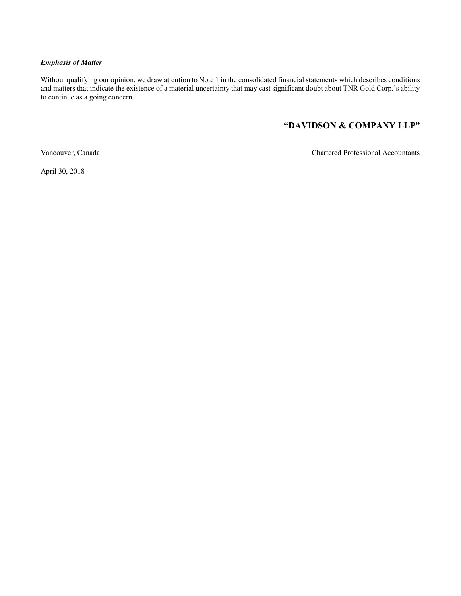## *Emphasis of Matter*

Without qualifying our opinion, we draw attention to Note 1 in the consolidated financial statements which describes conditions and matters that indicate the existence of a material uncertainty that may cast significant doubt about TNR Gold Corp.'s ability to continue as a going concern.

# **"DAVIDSON & COMPANY LLP"**

Vancouver, Canada Chartered Professional Accountants

April 30, 2018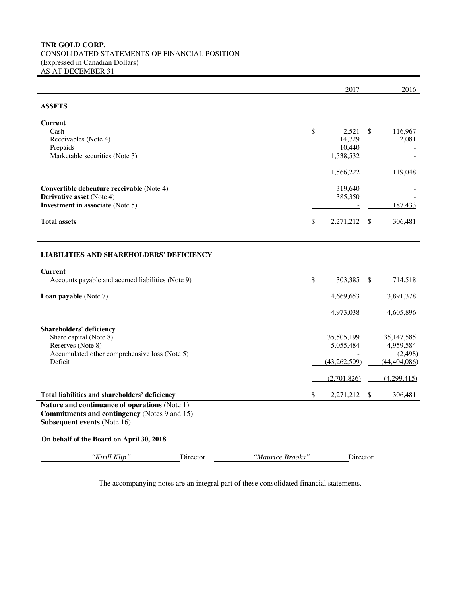## **TNR GOLD CORP.** CONSOLIDATED STATEMENTS OF FINANCIAL POSITION (Expressed in Canadian Dollars) AS AT DECEMBER 31

|                                                                                                                                            |                  | 2017                                                     |    | 2016                                                                |
|--------------------------------------------------------------------------------------------------------------------------------------------|------------------|----------------------------------------------------------|----|---------------------------------------------------------------------|
| <b>ASSETS</b>                                                                                                                              |                  |                                                          |    |                                                                     |
| <b>Current</b><br>Cash<br>Receivables (Note 4)<br>Prepaids<br>Marketable securities (Note 3)                                               | \$               | 2,521<br>14,729<br>10,440<br>1,538,532                   | \$ | 116,967<br>2,081                                                    |
|                                                                                                                                            |                  | 1,566,222                                                |    | 119,048                                                             |
| Convertible debenture receivable (Note 4)<br>Derivative asset (Note 4)<br><b>Investment in associate</b> (Note 5)                          |                  | 319,640<br>385,350                                       |    | 187,433                                                             |
| <b>Total assets</b>                                                                                                                        | \$               | 2,271,212                                                | \$ | 306,481                                                             |
| <b>LIABILITIES AND SHAREHOLDERS' DEFICIENCY</b>                                                                                            |                  |                                                          |    |                                                                     |
| <b>Current</b><br>Accounts payable and accrued liabilities (Note 9)                                                                        | $\mathbb{S}$     | 303,385                                                  | \$ | 714,518                                                             |
| Loan payable (Note 7)                                                                                                                      |                  | 4,669,653                                                |    | 3,891,378                                                           |
|                                                                                                                                            |                  | 4,973,038                                                |    | 4,605,896                                                           |
| <b>Shareholders' deficiency</b><br>Share capital (Note 8)<br>Reserves (Note 8)<br>Accumulated other comprehensive loss (Note 5)<br>Deficit |                  | 35,505,199<br>5,055,484<br>(43, 262, 509)<br>(2,701,826) |    | 35,147,585<br>4,959,584<br>(2,498)<br>(44, 404, 086)<br>(4,299,415) |
| Total liabilities and shareholders' deficiency                                                                                             | \$               | 2,271,212                                                | -S | 306,481                                                             |
| Nature and continuance of operations (Note 1)<br><b>Commitments and contingency</b> (Notes 9 and 15)<br><b>Subsequent events (Note 16)</b> |                  |                                                          |    |                                                                     |
| On behalf of the Board on April 30, 2018                                                                                                   |                  |                                                          |    |                                                                     |
| Director<br>"Kirill Klip"                                                                                                                  | "Maurice Brooks" | Director                                                 |    |                                                                     |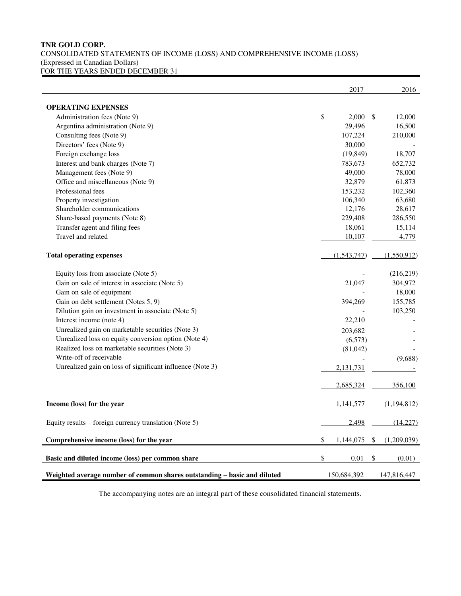## **TNR GOLD CORP.**  CONSOLIDATED STATEMENTS OF INCOME (LOSS) AND COMPREHENSIVE INCOME (LOSS) (Expressed in Canadian Dollars) FOR THE YEARS ENDED DECEMBER 31

|                                                                          | 2017            |     | 2016        |
|--------------------------------------------------------------------------|-----------------|-----|-------------|
| <b>OPERATING EXPENSES</b>                                                |                 |     |             |
| Administration fees (Note 9)                                             | \$<br>2,000     | -\$ | 12,000      |
| Argentina administration (Note 9)                                        | 29,496          |     | 16,500      |
| Consulting fees (Note 9)                                                 | 107,224         |     | 210,000     |
| Directors' fees (Note 9)                                                 | 30,000          |     |             |
| Foreign exchange loss                                                    | (19, 849)       |     | 18,707      |
| Interest and bank charges (Note 7)                                       | 783,673         |     | 652,732     |
| Management fees (Note 9)                                                 | 49,000          |     | 78,000      |
| Office and miscellaneous (Note 9)                                        | 32,879          |     | 61,873      |
| Professional fees                                                        | 153,232         |     | 102,360     |
| Property investigation                                                   | 106,340         |     | 63,680      |
| Shareholder communications                                               | 12,176          |     | 28,617      |
| Share-based payments (Note 8)                                            | 229,408         |     | 286,550     |
| Transfer agent and filing fees                                           | 18,061          |     | 15,114      |
| Travel and related                                                       | 10,107          |     | 4,779       |
|                                                                          |                 |     |             |
| <b>Total operating expenses</b>                                          | (1, 543, 747)   |     | (1,550,912) |
| Equity loss from associate (Note 5)                                      |                 |     | (216,219)   |
| Gain on sale of interest in associate (Note 5)                           | 21,047          |     | 304,972     |
| Gain on sale of equipment                                                |                 |     | 18,000      |
| Gain on debt settlement (Notes 5, 9)                                     | 394,269         |     | 155,785     |
| Dilution gain on investment in associate (Note 5)                        |                 |     | 103,250     |
| Interest income (note 4)                                                 | 22,210          |     |             |
| Unrealized gain on marketable securities (Note 3)                        | 203,682         |     |             |
| Unrealized loss on equity conversion option (Note 4)                     | (6,573)         |     |             |
| Realized loss on marketable securities (Note 3)                          | (81,042)        |     |             |
| Write-off of receivable                                                  |                 |     | (9,688)     |
| Unrealized gain on loss of significant influence (Note 3)                | 2,131,731       |     |             |
|                                                                          |                 |     |             |
|                                                                          | 2,685,324       |     | 356,100     |
| Income (loss) for the year                                               | 1,141,577       |     | (1,194,812) |
| Equity results – foreign currency translation (Note 5)                   | 2,498           |     | (14,227)    |
| Comprehensive income (loss) for the year                                 | \$<br>1,144,075 | \$  | (1,209,039) |
| Basic and diluted income (loss) per common share                         | \$<br>0.01      | \$  | (0.01)      |
| Weighted average number of common shares outstanding - basic and diluted | 150,684,392     |     | 147,816,447 |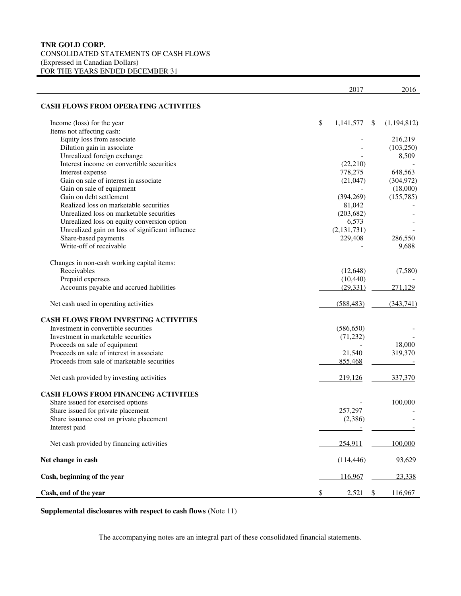## **TNR GOLD CORP.**  CONSOLIDATED STATEMENTS OF CASH FLOWS (Expressed in Canadian Dollars) FOR THE YEARS ENDED DECEMBER 31

|                                                  | 2017            |               | 2016        |
|--------------------------------------------------|-----------------|---------------|-------------|
| <b>CASH FLOWS FROM OPERATING ACTIVITIES</b>      |                 |               |             |
| Income (loss) for the year                       | \$<br>1,141,577 | \$            | (1,194,812) |
| Items not affecting cash:                        |                 |               |             |
| Equity loss from associate                       |                 |               | 216,219     |
| Dilution gain in associate                       |                 |               | (103, 250)  |
| Unrealized foreign exchange                      |                 |               | 8,509       |
| Interest income on convertible securities        | (22,210)        |               |             |
| Interest expense                                 | 778,275         |               | 648,563     |
| Gain on sale of interest in associate            | (21,047)        |               | (304, 972)  |
| Gain on sale of equipment                        |                 |               | (18,000)    |
| Gain on debt settlement                          | (394, 269)      |               | (155,785)   |
| Realized loss on marketable securities           | 81,042          |               |             |
| Unrealized loss on marketable securities         | (203, 682)      |               |             |
| Unrealized loss on equity conversion option      | 6,573           |               |             |
| Unrealized gain on loss of significant influence | (2, 131, 731)   |               |             |
| Share-based payments                             | 229,408         |               | 286,550     |
| Write-off of receivable                          |                 |               | 9,688       |
| Changes in non-cash working capital items:       |                 |               |             |
| Receivables                                      | (12, 648)       |               | (7,580)     |
| Prepaid expenses                                 | (10, 440)       |               |             |
| Accounts payable and accrued liabilities         | (29, 331)       |               | 271,129     |
| Net cash used in operating activities            | (588, 483)      |               | (343,741)   |
| <b>CASH FLOWS FROM INVESTING ACTIVITIES</b>      |                 |               |             |
| Investment in convertible securities             | (586, 650)      |               |             |
| Investment in marketable securities              | (71, 232)       |               |             |
| Proceeds on sale of equipment                    |                 |               | 18,000      |
| Proceeds on sale of interest in associate        | 21,540          |               | 319,370     |
| Proceeds from sale of marketable securities      | 855,468         |               |             |
| Net cash provided by investing activities        | 219,126         |               | 337,370     |
| <b>CASH FLOWS FROM FINANCING ACTIVITIES</b>      |                 |               |             |
| Share issued for exercised options               |                 |               | 100,000     |
| Share issued for private placement               | 257,297         |               |             |
| Share issuance cost on private placement         | (2,386)         |               |             |
| Interest paid                                    |                 |               |             |
| Net cash provided by financing activities        | 254,911         |               | 100,000     |
| Net change in cash                               | (114, 446)      |               | 93,629      |
| Cash, beginning of the year                      | 116,967         |               | 23,338      |
| Cash, end of the year                            | \$<br>2,521     | $\mathcal{S}$ | 116,967     |

**Supplemental disclosures with respect to cash flows** (Note 11)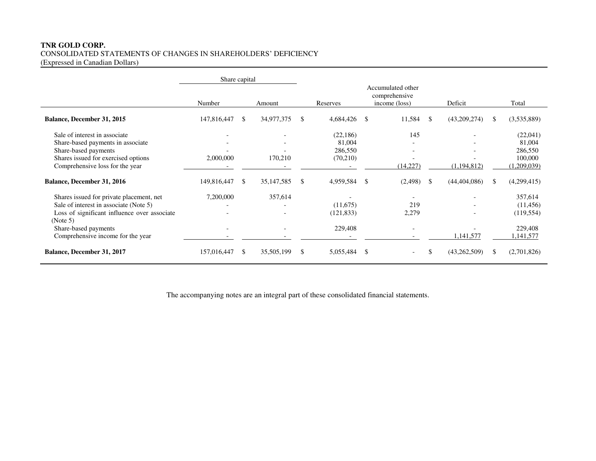## **TNR GOLD CORP.**  CONSOLIDATED STATEMENTS OF CHANGES IN SHAREHOLDERS' DEFICIENCY (Expressed in Canadian Dollars)

|                                              | Share capital |     |              |     |              |               |                                                     |      |                |     |             |
|----------------------------------------------|---------------|-----|--------------|-----|--------------|---------------|-----------------------------------------------------|------|----------------|-----|-------------|
|                                              | Number        |     | Amount       |     | Reserves     |               | Accumulated other<br>comprehensive<br>income (loss) |      | Deficit        |     | Total       |
| Balance, December 31, 2015                   | 147,816,447   | \$. | 34,977,375   | -S  | 4,684,426 \$ |               | 11,584                                              | -S   | (43,209,274)   | \$. | (3,535,889) |
| Sale of interest in associate                |               |     |              |     | (22,186)     |               | 145                                                 |      |                |     | (22,041)    |
| Share-based payments in associate            |               |     |              |     | 81,004       |               | $\overline{\phantom{a}}$                            |      |                |     | 81,004      |
| Share-based payments                         |               |     |              |     | 286,550      |               |                                                     |      |                |     | 286,550     |
| Shares issued for exercised options          | 2,000,000     |     | 170,210      |     | (70,210)     |               |                                                     |      |                |     | 100,000     |
| Comprehensive loss for the year              |               |     |              |     |              |               | (14, 227)                                           |      | (1,194,812)    |     | (1,209,039) |
| Balance, December 31, 2016                   | 149,816,447   | \$. | 35, 147, 585 | -S  | 4,959,584    | -S            | (2, 498)                                            | - \$ | (44, 404, 086) | S   | (4,299,415) |
| Shares issued for private placement, net     | 7,200,000     |     | 357,614      |     |              |               |                                                     |      |                |     | 357,614     |
| Sale of interest in associate (Note 5)       |               |     |              |     | (11,675)     |               | 219                                                 |      |                |     | (11, 456)   |
| Loss of significant influence over associate |               |     |              |     | (121, 833)   |               | 2,279                                               |      |                |     | (119, 554)  |
| (Note 5)                                     |               |     |              |     |              |               |                                                     |      |                |     |             |
| Share-based payments                         |               |     |              |     | 229,408      |               |                                                     |      |                |     | 229,408     |
| Comprehensive income for the year            |               |     |              |     |              |               |                                                     |      | 1,141,577      |     | 1,141,577   |
| Balance, December 31, 2017                   | 157,016,447   | \$. | 35,505,199   | \$. | 5,055,484    | <sup>\$</sup> | $\overline{\phantom{0}}$                            | S.   | (43,262,509)   | \$  | (2,701,826) |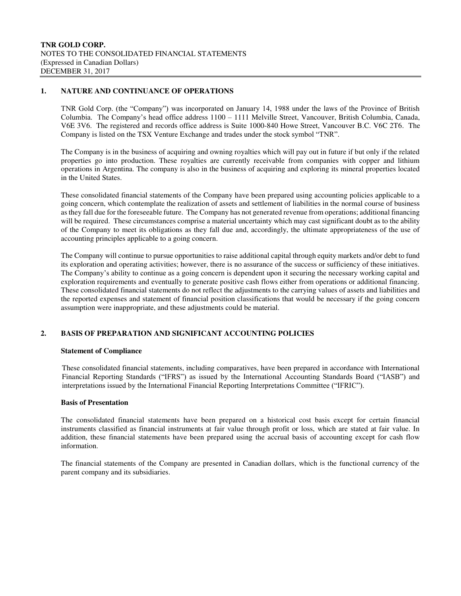## **1. NATURE AND CONTINUANCE OF OPERATIONS**

TNR Gold Corp. (the "Company") was incorporated on January 14, 1988 under the laws of the Province of British Columbia. The Company's head office address 1100 – 1111 Melville Street, Vancouver, British Columbia, Canada, V6E 3V6. The registered and records office address is Suite 1000-840 Howe Street, Vancouver B.C. V6C 2T6. The Company is listed on the TSX Venture Exchange and trades under the stock symbol "TNR".

The Company is in the business of acquiring and owning royalties which will pay out in future if but only if the related properties go into production. These royalties are currently receivable from companies with copper and lithium operations in Argentina. The company is also in the business of acquiring and exploring its mineral properties located in the United States.

These consolidated financial statements of the Company have been prepared using accounting policies applicable to a going concern, which contemplate the realization of assets and settlement of liabilities in the normal course of business as they fall due for the foreseeable future. The Company has not generated revenue from operations; additional financing will be required. These circumstances comprise a material uncertainty which may cast significant doubt as to the ability of the Company to meet its obligations as they fall due and, accordingly, the ultimate appropriateness of the use of accounting principles applicable to a going concern.

The Company will continue to pursue opportunities to raise additional capital through equity markets and/or debt to fund its exploration and operating activities; however, there is no assurance of the success or sufficiency of these initiatives. The Company's ability to continue as a going concern is dependent upon it securing the necessary working capital and exploration requirements and eventually to generate positive cash flows either from operations or additional financing. These consolidated financial statements do not reflect the adjustments to the carrying values of assets and liabilities and the reported expenses and statement of financial position classifications that would be necessary if the going concern assumption were inappropriate, and these adjustments could be material.

## **2. BASIS OF PREPARATION AND SIGNIFICANT ACCOUNTING POLICIES**

## **Statement of Compliance**

These consolidated financial statements, including comparatives, have been prepared in accordance with International Financial Reporting Standards ("IFRS") as issued by the International Accounting Standards Board ("IASB") and interpretations issued by the International Financial Reporting Interpretations Committee ("IFRIC").

## **Basis of Presentation**

The consolidated financial statements have been prepared on a historical cost basis except for certain financial instruments classified as financial instruments at fair value through profit or loss, which are stated at fair value. In addition, these financial statements have been prepared using the accrual basis of accounting except for cash flow information.

The financial statements of the Company are presented in Canadian dollars, which is the functional currency of the parent company and its subsidiaries.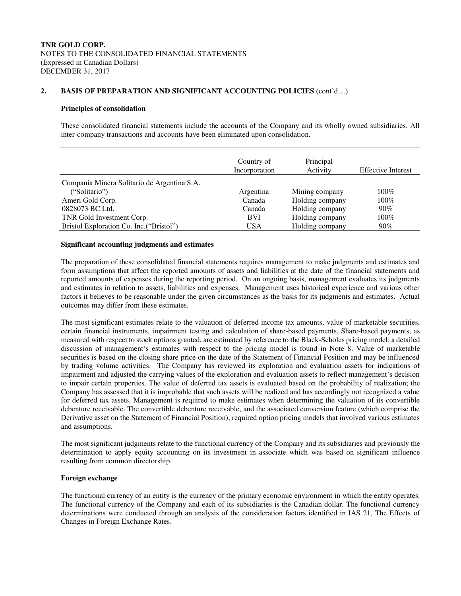#### **Principles of consolidation**

These consolidated financial statements include the accounts of the Company and its wholly owned subsidiaries. All inter-company transactions and accounts have been eliminated upon consolidation.

|                                             | Country of<br>Incorporation | Principal<br>Activity | <b>Effective Interest</b> |
|---------------------------------------------|-----------------------------|-----------------------|---------------------------|
| Compania Minera Solitario de Argentina S.A. |                             |                       |                           |
| ("Solitario")                               | Argentina                   | Mining company        | $100\%$                   |
| Ameri Gold Corp.                            | Canada                      | Holding company       | $100\%$                   |
| 0828073 BC Ltd.                             | Canada                      | Holding company       | 90%                       |
| TNR Gold Investment Corp.                   | <b>BVI</b>                  | Holding company       | $100\%$                   |
| Bristol Exploration Co. Inc. ("Bristol")    | <b>USA</b>                  | Holding company       | $90\%$                    |

#### **Significant accounting judgments and estimates**

The preparation of these consolidated financial statements requires management to make judgments and estimates and form assumptions that affect the reported amounts of assets and liabilities at the date of the financial statements and reported amounts of expenses during the reporting period. On an ongoing basis, management evaluates its judgments and estimates in relation to assets, liabilities and expenses. Management uses historical experience and various other factors it believes to be reasonable under the given circumstances as the basis for its judgments and estimates. Actual outcomes may differ from these estimates.

The most significant estimates relate to the valuation of deferred income tax amounts, value of marketable securities, certain financial instruments, impairment testing and calculation of share-based payments. Share-based payments, as measured with respect to stock options granted, are estimated by reference to the Black-Scholes pricing model; a detailed discussion of management's estimates with respect to the pricing model is found in Note 8. Value of marketable securities is based on the closing share price on the date of the Statement of Financial Position and may be influenced by trading volume activities. The Company has reviewed its exploration and evaluation assets for indications of impairment and adjusted the carrying values of the exploration and evaluation assets to reflect management's decision to impair certain properties. The value of deferred tax assets is evaluated based on the probability of realization; the Company has assessed that it is improbable that such assets will be realized and has accordingly not recognized a value for deferred tax assets. Management is required to make estimates when determining the valuation of its convertible debenture receivable. The convertible debenture receivable, and the associated conversion feature (which comprise the Derivative asset on the Statement of Financial Position), required option pricing models that involved various estimates and assumptions.

The most significant judgments relate to the functional currency of the Company and its subsidiaries and previously the determination to apply equity accounting on its investment in associate which was based on significant influence resulting from common directorship.

## **Foreign exchange**

The functional currency of an entity is the currency of the primary economic environment in which the entity operates. The functional currency of the Company and each of its subsidiaries is the Canadian dollar. The functional currency determinations were conducted through an analysis of the consideration factors identified in IAS 21, The Effects of Changes in Foreign Exchange Rates.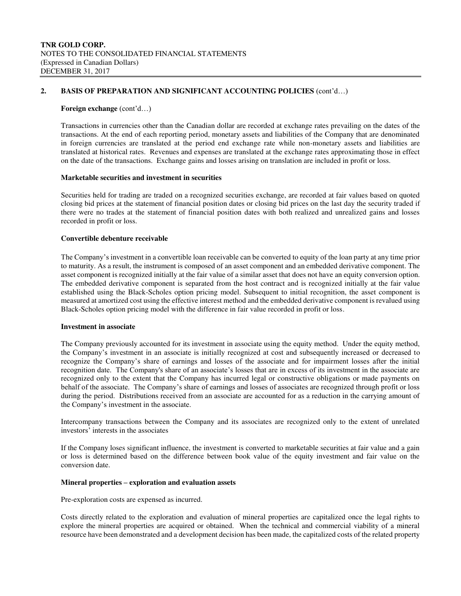#### **Foreign exchange** (cont'd…)

Transactions in currencies other than the Canadian dollar are recorded at exchange rates prevailing on the dates of the transactions. At the end of each reporting period, monetary assets and liabilities of the Company that are denominated in foreign currencies are translated at the period end exchange rate while non-monetary assets and liabilities are translated at historical rates. Revenues and expenses are translated at the exchange rates approximating those in effect on the date of the transactions. Exchange gains and losses arising on translation are included in profit or loss.

## **Marketable securities and investment in securities**

Securities held for trading are traded on a recognized securities exchange, are recorded at fair values based on quoted closing bid prices at the statement of financial position dates or closing bid prices on the last day the security traded if there were no trades at the statement of financial position dates with both realized and unrealized gains and losses recorded in profit or loss.

#### **Convertible debenture receivable**

The Company's investment in a convertible loan receivable can be converted to equity of the loan party at any time prior to maturity. As a result, the instrument is composed of an asset component and an embedded derivative component. The asset component is recognized initially at the fair value of a similar asset that does not have an equity conversion option. The embedded derivative component is separated from the host contract and is recognized initially at the fair value established using the Black-Scholes option pricing model. Subsequent to initial recognition, the asset component is measured at amortized cost using the effective interest method and the embedded derivative component is revalued using Black-Scholes option pricing model with the difference in fair value recorded in profit or loss.

## **Investment in associate**

The Company previously accounted for its investment in associate using the equity method. Under the equity method, the Company's investment in an associate is initially recognized at cost and subsequently increased or decreased to recognize the Company's share of earnings and losses of the associate and for impairment losses after the initial recognition date. The Company's share of an associate's losses that are in excess of its investment in the associate are recognized only to the extent that the Company has incurred legal or constructive obligations or made payments on behalf of the associate. The Company's share of earnings and losses of associates are recognized through profit or loss during the period. Distributions received from an associate are accounted for as a reduction in the carrying amount of the Company's investment in the associate.

Intercompany transactions between the Company and its associates are recognized only to the extent of unrelated investors' interests in the associates

If the Company loses significant influence, the investment is converted to marketable securities at fair value and a gain or loss is determined based on the difference between book value of the equity investment and fair value on the conversion date.

## **Mineral properties – exploration and evaluation assets**

Pre-exploration costs are expensed as incurred.

Costs directly related to the exploration and evaluation of mineral properties are capitalized once the legal rights to explore the mineral properties are acquired or obtained. When the technical and commercial viability of a mineral resource have been demonstrated and a development decision has been made, the capitalized costs of the related property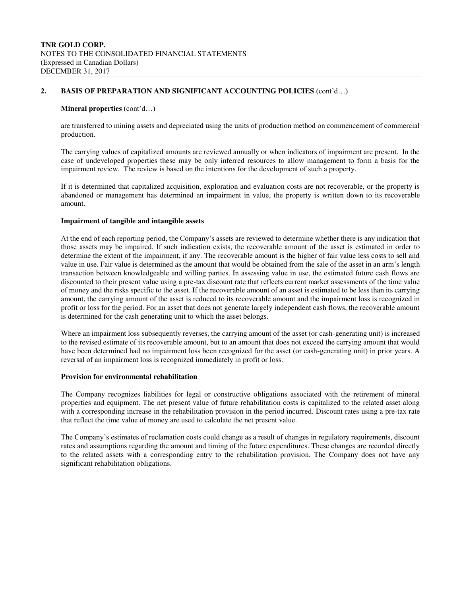## **Mineral properties** (cont'd…)

are transferred to mining assets and depreciated using the units of production method on commencement of commercial production.

The carrying values of capitalized amounts are reviewed annually or when indicators of impairment are present. In the case of undeveloped properties these may be only inferred resources to allow management to form a basis for the impairment review. The review is based on the intentions for the development of such a property.

If it is determined that capitalized acquisition, exploration and evaluation costs are not recoverable, or the property is abandoned or management has determined an impairment in value, the property is written down to its recoverable amount.

## **Impairment of tangible and intangible assets**

At the end of each reporting period, the Company's assets are reviewed to determine whether there is any indication that those assets may be impaired. If such indication exists, the recoverable amount of the asset is estimated in order to determine the extent of the impairment, if any. The recoverable amount is the higher of fair value less costs to sell and value in use. Fair value is determined as the amount that would be obtained from the sale of the asset in an arm's length transaction between knowledgeable and willing parties. In assessing value in use, the estimated future cash flows are discounted to their present value using a pre-tax discount rate that reflects current market assessments of the time value of money and the risks specific to the asset. If the recoverable amount of an asset is estimated to be less than its carrying amount, the carrying amount of the asset is reduced to its recoverable amount and the impairment loss is recognized in profit or loss for the period. For an asset that does not generate largely independent cash flows, the recoverable amount is determined for the cash generating unit to which the asset belongs.

Where an impairment loss subsequently reverses, the carrying amount of the asset (or cash-generating unit) is increased to the revised estimate of its recoverable amount, but to an amount that does not exceed the carrying amount that would have been determined had no impairment loss been recognized for the asset (or cash-generating unit) in prior years. A reversal of an impairment loss is recognized immediately in profit or loss.

## **Provision for environmental rehabilitation**

The Company recognizes liabilities for legal or constructive obligations associated with the retirement of mineral properties and equipment. The net present value of future rehabilitation costs is capitalized to the related asset along with a corresponding increase in the rehabilitation provision in the period incurred. Discount rates using a pre-tax rate that reflect the time value of money are used to calculate the net present value.

The Company's estimates of reclamation costs could change as a result of changes in regulatory requirements, discount rates and assumptions regarding the amount and timing of the future expenditures. These changes are recorded directly to the related assets with a corresponding entry to the rehabilitation provision. The Company does not have any significant rehabilitation obligations.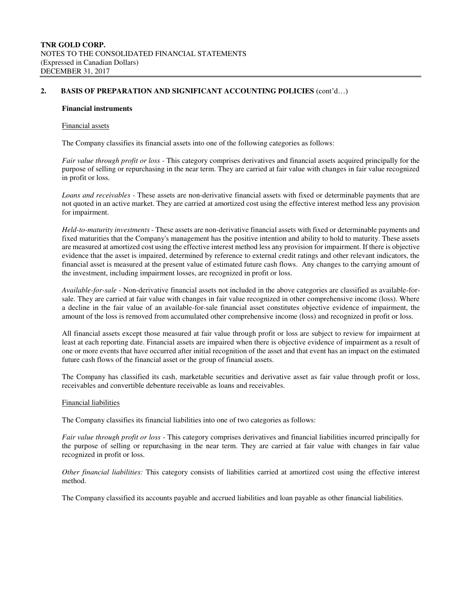#### **Financial instruments**

#### Financial assets

The Company classifies its financial assets into one of the following categories as follows:

*Fair value through profit or loss -* This category comprises derivatives and financial assets acquired principally for the purpose of selling or repurchasing in the near term. They are carried at fair value with changes in fair value recognized in profit or loss.

*Loans and receivables -* These assets are non-derivative financial assets with fixed or determinable payments that are not quoted in an active market. They are carried at amortized cost using the effective interest method less any provision for impairment.

*Held-to-maturity investments* - These assets are non-derivative financial assets with fixed or determinable payments and fixed maturities that the Company's management has the positive intention and ability to hold to maturity. These assets are measured at amortized cost using the effective interest method less any provision for impairment. If there is objective evidence that the asset is impaired, determined by reference to external credit ratings and other relevant indicators, the financial asset is measured at the present value of estimated future cash flows. Any changes to the carrying amount of the investment, including impairment losses, are recognized in profit or loss.

*Available-for-sale* - Non-derivative financial assets not included in the above categories are classified as available-forsale. They are carried at fair value with changes in fair value recognized in other comprehensive income (loss). Where a decline in the fair value of an available-for-sale financial asset constitutes objective evidence of impairment, the amount of the loss is removed from accumulated other comprehensive income (loss) and recognized in profit or loss.

All financial assets except those measured at fair value through profit or loss are subject to review for impairment at least at each reporting date. Financial assets are impaired when there is objective evidence of impairment as a result of one or more events that have occurred after initial recognition of the asset and that event has an impact on the estimated future cash flows of the financial asset or the group of financial assets.

The Company has classified its cash, marketable securities and derivative asset as fair value through profit or loss, receivables and convertible debenture receivable as loans and receivables.

## Financial liabilities

The Company classifies its financial liabilities into one of two categories as follows:

*Fair value through profit or loss* - This category comprises derivatives and financial liabilities incurred principally for the purpose of selling or repurchasing in the near term. They are carried at fair value with changes in fair value recognized in profit or loss.

*Other financial liabilities:* This category consists of liabilities carried at amortized cost using the effective interest method.

The Company classified its accounts payable and accrued liabilities and loan payable as other financial liabilities.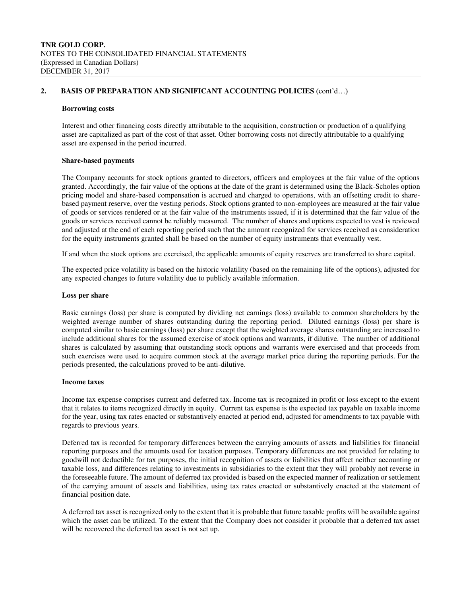#### **Borrowing costs**

Interest and other financing costs directly attributable to the acquisition, construction or production of a qualifying asset are capitalized as part of the cost of that asset. Other borrowing costs not directly attributable to a qualifying asset are expensed in the period incurred.

## **Share-based payments**

The Company accounts for stock options granted to directors, officers and employees at the fair value of the options granted. Accordingly, the fair value of the options at the date of the grant is determined using the Black-Scholes option pricing model and share-based compensation is accrued and charged to operations, with an offsetting credit to sharebased payment reserve, over the vesting periods. Stock options granted to non-employees are measured at the fair value of goods or services rendered or at the fair value of the instruments issued, if it is determined that the fair value of the goods or services received cannot be reliably measured. The number of shares and options expected to vest is reviewed and adjusted at the end of each reporting period such that the amount recognized for services received as consideration for the equity instruments granted shall be based on the number of equity instruments that eventually vest.

If and when the stock options are exercised, the applicable amounts of equity reserves are transferred to share capital.

The expected price volatility is based on the historic volatility (based on the remaining life of the options), adjusted for any expected changes to future volatility due to publicly available information.

## **Loss per share**

Basic earnings (loss) per share is computed by dividing net earnings (loss) available to common shareholders by the weighted average number of shares outstanding during the reporting period. Diluted earnings (loss) per share is computed similar to basic earnings (loss) per share except that the weighted average shares outstanding are increased to include additional shares for the assumed exercise of stock options and warrants, if dilutive. The number of additional shares is calculated by assuming that outstanding stock options and warrants were exercised and that proceeds from such exercises were used to acquire common stock at the average market price during the reporting periods. For the periods presented, the calculations proved to be anti-dilutive.

## **Income taxes**

Income tax expense comprises current and deferred tax. Income tax is recognized in profit or loss except to the extent that it relates to items recognized directly in equity. Current tax expense is the expected tax payable on taxable income for the year, using tax rates enacted or substantively enacted at period end, adjusted for amendments to tax payable with regards to previous years.

Deferred tax is recorded for temporary differences between the carrying amounts of assets and liabilities for financial reporting purposes and the amounts used for taxation purposes. Temporary differences are not provided for relating to goodwill not deductible for tax purposes, the initial recognition of assets or liabilities that affect neither accounting or taxable loss, and differences relating to investments in subsidiaries to the extent that they will probably not reverse in the foreseeable future. The amount of deferred tax provided is based on the expected manner of realization or settlement of the carrying amount of assets and liabilities, using tax rates enacted or substantively enacted at the statement of financial position date.

A deferred tax asset is recognized only to the extent that it is probable that future taxable profits will be available against which the asset can be utilized. To the extent that the Company does not consider it probable that a deferred tax asset will be recovered the deferred tax asset is not set up.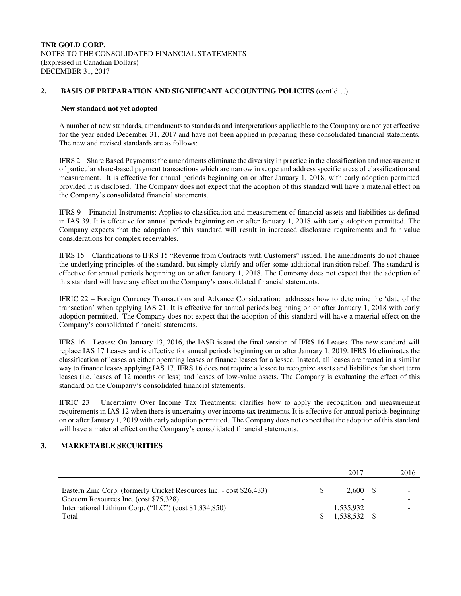## **New standard not yet adopted**

A number of new standards, amendments to standards and interpretations applicable to the Company are not yet effective for the year ended December 31, 2017 and have not been applied in preparing these consolidated financial statements. The new and revised standards are as follows:

IFRS 2 – Share Based Payments: the amendments eliminate the diversity in practice in the classification and measurement of particular share-based payment transactions which are narrow in scope and address specific areas of classification and measurement. It is effective for annual periods beginning on or after January 1, 2018, with early adoption permitted provided it is disclosed. The Company does not expect that the adoption of this standard will have a material effect on the Company's consolidated financial statements.

IFRS 9 – Financial Instruments: Applies to classification and measurement of financial assets and liabilities as defined in IAS 39. It is effective for annual periods beginning on or after January 1, 2018 with early adoption permitted. The Company expects that the adoption of this standard will result in increased disclosure requirements and fair value considerations for complex receivables.

IFRS 15 – Clarifications to IFRS 15 "Revenue from Contracts with Customers" issued. The amendments do not change the underlying principles of the standard, but simply clarify and offer some additional transition relief. The standard is effective for annual periods beginning on or after January 1, 2018. The Company does not expect that the adoption of this standard will have any effect on the Company's consolidated financial statements.

IFRIC 22 – Foreign Currency Transactions and Advance Consideration: addresses how to determine the 'date of the transaction' when applying IAS 21. It is effective for annual periods beginning on or after January 1, 2018 with early adoption permitted. The Company does not expect that the adoption of this standard will have a material effect on the Company's consolidated financial statements.

IFRS 16 – Leases: On January 13, 2016, the IASB issued the final version of IFRS 16 Leases. The new standard will replace IAS 17 Leases and is effective for annual periods beginning on or after January 1, 2019. IFRS 16 eliminates the classification of leases as either operating leases or finance leases for a lessee. Instead, all leases are treated in a similar way to finance leases applying IAS 17. IFRS 16 does not require a lessee to recognize assets and liabilities for short term leases (i.e. leases of 12 months or less) and leases of low-value assets. The Company is evaluating the effect of this standard on the Company's consolidated financial statements.

IFRIC 23 – Uncertainty Over Income Tax Treatments: clarifies how to apply the recognition and measurement requirements in IAS 12 when there is uncertainty over income tax treatments. It is effective for annual periods beginning on or after January 1, 2019 with early adoption permitted. The Company does not expect that the adoption of this standard will have a material effect on the Company's consolidated financial statements.

## **3. MARKETABLE SECURITIES**

|                                                                      | 2017      | 2016 |
|----------------------------------------------------------------------|-----------|------|
| Eastern Zinc Corp. (formerly Cricket Resources Inc. - cost \$26,433) | 2.600 S   |      |
| Geocom Resources Inc. (cost \$75,328)                                |           |      |
| International Lithium Corp. ("ILC") (cost \$1,334,850)               | 1,535,932 |      |
| Total                                                                | .538.532  |      |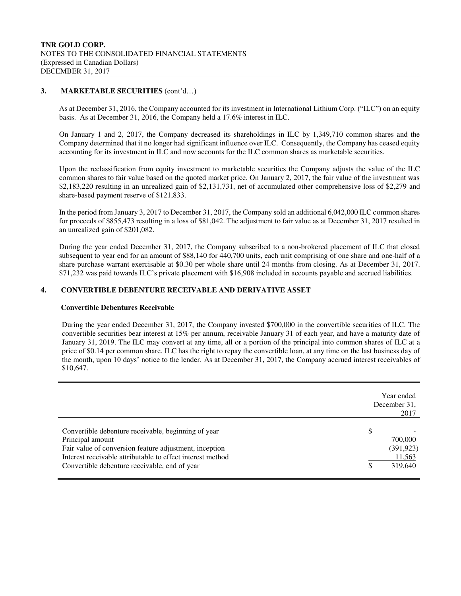## **3. MARKETABLE SECURITIES** (cont'd…)

As at December 31, 2016, the Company accounted for its investment in International Lithium Corp. ("ILC") on an equity basis. As at December 31, 2016, the Company held a 17.6% interest in ILC.

On January 1 and 2, 2017, the Company decreased its shareholdings in ILC by 1,349,710 common shares and the Company determined that it no longer had significant influence over ILC. Consequently, the Company has ceased equity accounting for its investment in ILC and now accounts for the ILC common shares as marketable securities.

Upon the reclassification from equity investment to marketable securities the Company adjusts the value of the ILC common shares to fair value based on the quoted market price. On January 2, 2017, the fair value of the investment was \$2,183,220 resulting in an unrealized gain of \$2,131,731, net of accumulated other comprehensive loss of \$2,279 and share-based payment reserve of \$121,833.

In the period from January 3, 2017 to December 31, 2017, the Company sold an additional 6,042,000 ILC common shares for proceeds of \$855,473 resulting in a loss of \$81,042. The adjustment to fair value as at December 31, 2017 resulted in an unrealized gain of \$201,082.

During the year ended December 31, 2017, the Company subscribed to a non-brokered placement of ILC that closed subsequent to year end for an amount of \$88,140 for 440,700 units, each unit comprising of one share and one-half of a share purchase warrant exercisable at \$0.30 per whole share until 24 months from closing. As at December 31, 2017. \$71,232 was paid towards ILC's private placement with \$16,908 included in accounts payable and accrued liabilities.

## **4. CONVERTIBLE DEBENTURE RECEIVABLE AND DERIVATIVE ASSET**

## **Convertible Debentures Receivable**

During the year ended December 31, 2017, the Company invested \$700,000 in the convertible securities of ILC. The convertible securities bear interest at 15% per annum, receivable January 31 of each year, and have a maturity date of January 31, 2019. The ILC may convert at any time, all or a portion of the principal into common shares of ILC at a price of \$0.14 per common share. ILC has the right to repay the convertible loan, at any time on the last business day of the month, upon 10 days' notice to the lender. As at December 31, 2017, the Company accrued interest receivables of \$10,647.

|                                                                                                                                                                                                                                                  | Year ended<br>December 31,<br>2017                     |
|--------------------------------------------------------------------------------------------------------------------------------------------------------------------------------------------------------------------------------------------------|--------------------------------------------------------|
| Convertible debenture receivable, beginning of year<br>Principal amount<br>Fair value of conversion feature adjustment, inception<br>Interest receivable attributable to effect interest method<br>Convertible debenture receivable, end of year | \$<br>700,000<br>(391, 923)<br>11,563<br>319,640<br>\$ |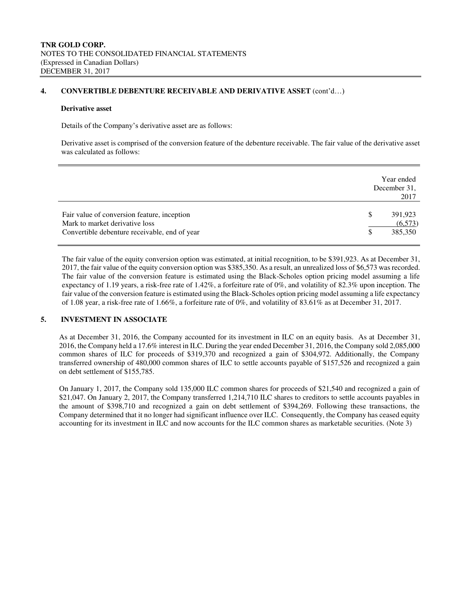## **4. CONVERTIBLE DEBENTURE RECEIVABLE AND DERIVATIVE ASSET** (cont'd…)

#### **Derivative asset**

Details of the Company's derivative asset are as follows:

Derivative asset is comprised of the conversion feature of the debenture receivable. The fair value of the derivative asset was calculated as follows:

|                                                                                                                                | Year ended<br>December 31.<br>2017  |
|--------------------------------------------------------------------------------------------------------------------------------|-------------------------------------|
| Fair value of conversion feature, inception<br>Mark to market derivative loss<br>Convertible debenture receivable, end of year | 391,923<br>\$<br>(6,573)<br>385,350 |

The fair value of the equity conversion option was estimated, at initial recognition, to be \$391,923. As at December 31, 2017, the fair value of the equity conversion option was \$385,350. As a result, an unrealized loss of \$6,573 was recorded. The fair value of the conversion feature is estimated using the Black-Scholes option pricing model assuming a life expectancy of 1.19 years, a risk-free rate of 1.42%, a forfeiture rate of 0%, and volatility of 82.3% upon inception. The fair value of the conversion feature is estimated using the Black-Scholes option pricing model assuming a life expectancy of 1.08 year, a risk-free rate of 1.66%, a forfeiture rate of 0%, and volatility of 83.61% as at December 31, 2017.

## **5. INVESTMENT IN ASSOCIATE**

As at December 31, 2016, the Company accounted for its investment in ILC on an equity basis. As at December 31, 2016, the Company held a 17.6% interest in ILC. During the year ended December 31, 2016, the Company sold 2,085,000 common shares of ILC for proceeds of \$319,370 and recognized a gain of \$304,972. Additionally, the Company transferred ownership of 480,000 common shares of ILC to settle accounts payable of \$157,526 and recognized a gain on debt settlement of \$155,785.

On January 1, 2017, the Company sold 135,000 ILC common shares for proceeds of \$21,540 and recognized a gain of \$21,047. On January 2, 2017, the Company transferred 1,214,710 ILC shares to creditors to settle accounts payables in the amount of \$398,710 and recognized a gain on debt settlement of \$394,269. Following these transactions, the Company determined that it no longer had significant influence over ILC. Consequently, the Company has ceased equity accounting for its investment in ILC and now accounts for the ILC common shares as marketable securities. (Note 3)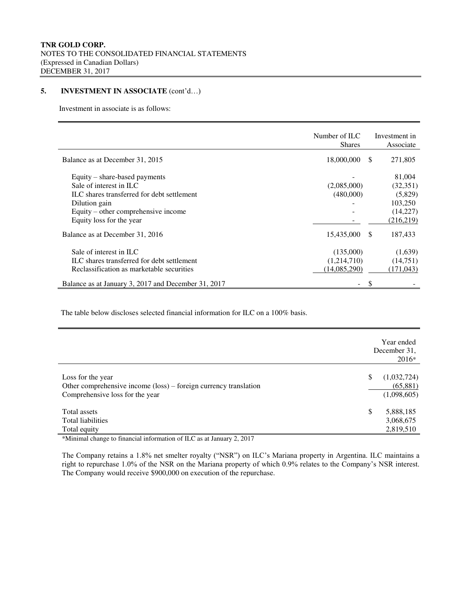## **5.** INVESTMENT IN ASSOCIATE (cont'd...)

Investment in associate is as follows:

|                                                     | Number of ILC<br><b>Shares</b> |    | Investment in<br>Associate |
|-----------------------------------------------------|--------------------------------|----|----------------------------|
| Balance as at December 31, 2015                     | 18,000,000                     | -S | 271,805                    |
| Equity – share-based payments                       |                                |    | 81,004                     |
| Sale of interest in ILC                             | (2,085,000)                    |    | (32, 351)                  |
| ILC shares transferred for debt settlement          | (480,000)                      |    | (5,829)                    |
| Dilution gain                                       |                                |    | 103,250                    |
| Equity – other comprehensive income                 |                                |    | (14,227)                   |
| Equity loss for the year                            |                                |    | (216,219)                  |
| Balance as at December 31, 2016                     | 15,435,000                     | -S | 187,433                    |
| Sale of interest in ILC                             | (135,000)                      |    | (1,639)                    |
| ILC shares transferred for debt settlement          | (1,214,710)                    |    | (14,751)                   |
| Reclassification as marketable securities           | (14,085,290)                   |    | (171, 043)                 |
| Balance as at January 3, 2017 and December 31, 2017 |                                |    |                            |

The table below discloses selected financial information for ILC on a 100% basis.

|                                                                                                                                   | Year ended<br>December 31.<br>2016*          |
|-----------------------------------------------------------------------------------------------------------------------------------|----------------------------------------------|
| Loss for the year<br>Other comprehensive income $(\text{loss})$ – foreign currency translation<br>Comprehensive loss for the year | \$<br>(1,032,724)<br>(65,881)<br>(1,098,605) |
| Total assets<br>Total liabilities<br>Total equity                                                                                 | \$<br>5,888,185<br>3,068,675<br>2,819,510    |

\*Minimal change to financial information of ILC as at January 2, 2017

The Company retains a 1.8% net smelter royalty ("NSR") on ILC's Mariana property in Argentina. ILC maintains a right to repurchase 1.0% of the NSR on the Mariana property of which 0.9% relates to the Company's NSR interest. The Company would receive \$900,000 on execution of the repurchase.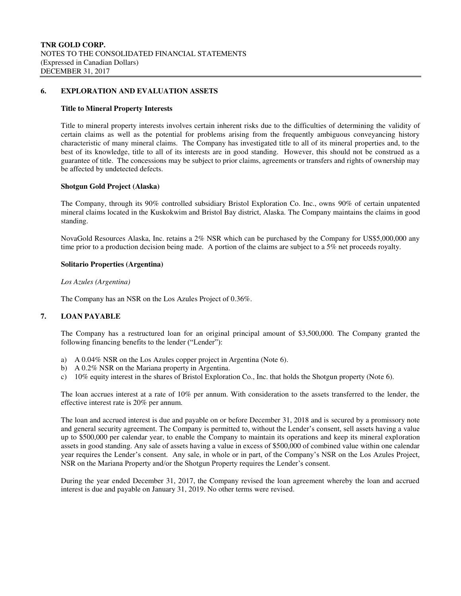## **6. EXPLORATION AND EVALUATION ASSETS**

#### **Title to Mineral Property Interests**

Title to mineral property interests involves certain inherent risks due to the difficulties of determining the validity of certain claims as well as the potential for problems arising from the frequently ambiguous conveyancing history characteristic of many mineral claims. The Company has investigated title to all of its mineral properties and, to the best of its knowledge, title to all of its interests are in good standing. However, this should not be construed as a guarantee of title. The concessions may be subject to prior claims, agreements or transfers and rights of ownership may be affected by undetected defects.

## **Shotgun Gold Project (Alaska)**

The Company, through its 90% controlled subsidiary Bristol Exploration Co. Inc., owns 90% of certain unpatented mineral claims located in the Kuskokwim and Bristol Bay district, Alaska. The Company maintains the claims in good standing.

NovaGold Resources Alaska, Inc. retains a 2% NSR which can be purchased by the Company for US\$5,000,000 any time prior to a production decision being made. A portion of the claims are subject to a 5% net proceeds royalty.

#### **Solitario Properties (Argentina)**

 *Los Azules (Argentina)* 

The Company has an NSR on the Los Azules Project of 0.36%.

## **7. LOAN PAYABLE**

The Company has a restructured loan for an original principal amount of \$3,500,000. The Company granted the following financing benefits to the lender ("Lender"):

- a) A 0.04% NSR on the Los Azules copper project in Argentina (Note 6).
- b) A 0.2% NSR on the Mariana property in Argentina.
- c) 10% equity interest in the shares of Bristol Exploration Co., Inc. that holds the Shotgun property (Note 6).

The loan accrues interest at a rate of 10% per annum. With consideration to the assets transferred to the lender, the effective interest rate is 20% per annum.

The loan and accrued interest is due and payable on or before December 31, 2018 and is secured by a promissory note and general security agreement. The Company is permitted to, without the Lender's consent, sell assets having a value up to \$500,000 per calendar year, to enable the Company to maintain its operations and keep its mineral exploration assets in good standing. Any sale of assets having a value in excess of \$500,000 of combined value within one calendar year requires the Lender's consent. Any sale, in whole or in part, of the Company's NSR on the Los Azules Project, NSR on the Mariana Property and/or the Shotgun Property requires the Lender's consent.

During the year ended December 31, 2017, the Company revised the loan agreement whereby the loan and accrued interest is due and payable on January 31, 2019. No other terms were revised.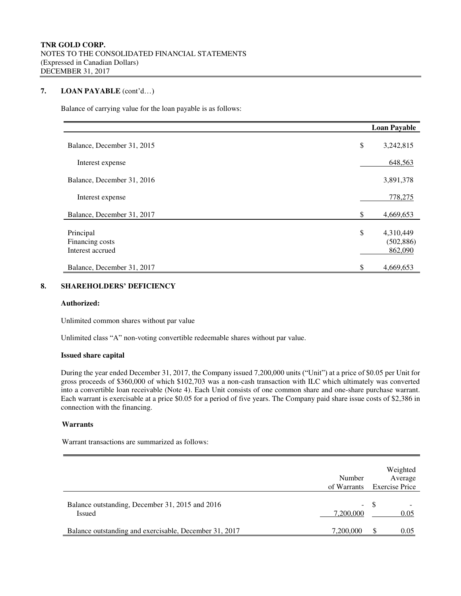## **7. LOAN PAYABLE** (cont'd…)

Balance of carrying value for the loan payable is as follows:

|                                                  | <b>Loan Payable</b>                      |
|--------------------------------------------------|------------------------------------------|
| Balance, December 31, 2015                       | \$<br>3,242,815                          |
| Interest expense                                 | 648,563                                  |
| Balance, December 31, 2016                       | 3,891,378                                |
| Interest expense                                 | 778,275                                  |
| Balance, December 31, 2017                       | \$<br>4,669,653                          |
| Principal<br>Financing costs<br>Interest accrued | \$<br>4,310,449<br>(502, 886)<br>862,090 |
| Balance, December 31, 2017                       | \$<br>4,669,653                          |

## **8. SHAREHOLDERS' DEFICIENCY**

## **Authorized:**

Unlimited common shares without par value

Unlimited class "A" non-voting convertible redeemable shares without par value.

#### **Issued share capital**

During the year ended December 31, 2017, the Company issued 7,200,000 units ("Unit") at a price of \$0.05 per Unit for gross proceeds of \$360,000 of which \$102,703 was a non-cash transaction with ILC which ultimately was converted into a convertible loan receivable (Note 4). Each Unit consists of one common share and one-share purchase warrant. Each warrant is exercisable at a price \$0.05 for a period of five years. The Company paid share issue costs of \$2,386 in connection with the financing.

#### **Warrants**

Warrant transactions are summarized as follows:

|                                                                  | Number<br>of Warrants | Weighted<br>Average<br><b>Exercise Price</b> |  |
|------------------------------------------------------------------|-----------------------|----------------------------------------------|--|
| Balance outstanding, December 31, 2015 and 2016<br><b>Issued</b> | 7,200,000             | - \$<br>0.05                                 |  |
| Balance outstanding and exercisable, December 31, 2017           | 7,200,000             | 0.05                                         |  |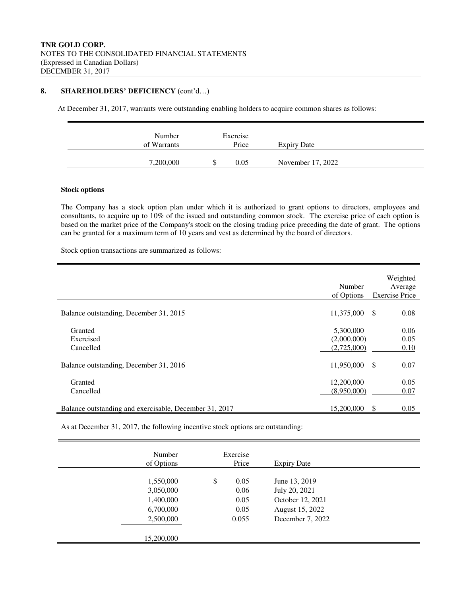## **8. SHAREHOLDERS' DEFICIENCY** (cont'd…)

At December 31, 2017, warrants were outstanding enabling holders to acquire common shares as follows:

| Number<br>of Warrants | Exercise<br>Price | <b>Expiry Date</b> |
|-----------------------|-------------------|--------------------|
| 7,200,000             | 0.05              | November 17, 2022  |

## **Stock options**

The Company has a stock option plan under which it is authorized to grant options to directors, employees and consultants, to acquire up to 10% of the issued and outstanding common stock. The exercise price of each option is based on the market price of the Company's stock on the closing trading price preceding the date of grant. The options can be granted for a maximum term of 10 years and vest as determined by the board of directors.

Stock option transactions are summarized as follows:

|                                                        | Number<br>of Options                    | Weighted<br>Average<br><b>Exercise Price</b> |
|--------------------------------------------------------|-----------------------------------------|----------------------------------------------|
| Balance outstanding, December 31, 2015                 | 11,375,000                              | \$<br>0.08                                   |
| Granted<br>Exercised<br>Cancelled                      | 5,300,000<br>(2,000,000)<br>(2,725,000) | 0.06<br>0.05<br>0.10                         |
| Balance outstanding, December 31, 2016                 | 11.950.000                              | <sup>\$</sup><br>0.07                        |
| Granted<br>Cancelled                                   | 12,200,000<br>(8,950,000)               | 0.05<br>0.07                                 |
| Balance outstanding and exercisable, December 31, 2017 | 15,200,000                              | \$<br>0.05                                   |

As at December 31, 2017, the following incentive stock options are outstanding:

| Number<br>of Options | Exercise<br>Price | <b>Expiry Date</b> |  |
|----------------------|-------------------|--------------------|--|
| 1,550,000            | \$<br>0.05        | June 13, 2019      |  |
| 3,050,000            | 0.06              | July 20, 2021      |  |
| 1,400,000            | 0.05              | October 12, 2021   |  |
| 6,700,000            | 0.05              | August 15, 2022    |  |
| 2,500,000            | 0.055             | December 7, 2022   |  |
| 15,200,000           |                   |                    |  |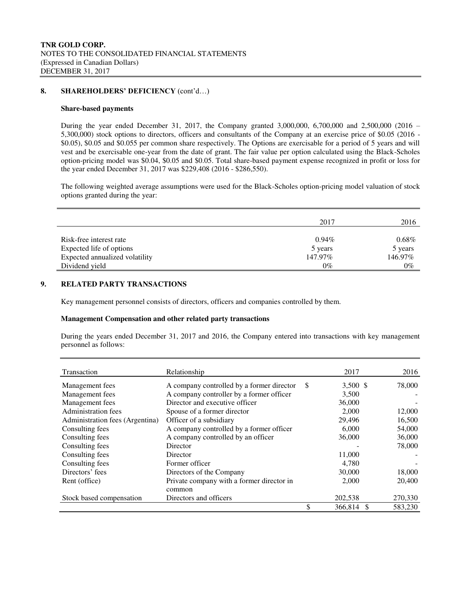## **8. SHAREHOLDERS' DEFICIENCY** (cont'd…)

#### **Share-based payments**

During the year ended December 31, 2017, the Company granted 3,000,000, 6,700,000 and 2,500,000 (2016 – 5,300,000) stock options to directors, officers and consultants of the Company at an exercise price of \$0.05 (2016 - \$0.05), \$0.05 and \$0.055 per common share respectively. The Options are exercisable for a period of 5 years and will vest and be exercisable one-year from the date of grant. The fair value per option calculated using the Black-Scholes option-pricing model was \$0.04, \$0.05 and \$0.05. Total share-based payment expense recognized in profit or loss for the year ended December 31, 2017 was \$229,408 (2016 - \$286,550).

The following weighted average assumptions were used for the Black-Scholes option-pricing model valuation of stock options granted during the year:

|                                | 2017     | 2016     |
|--------------------------------|----------|----------|
| Risk-free interest rate        | $0.94\%$ | $0.68\%$ |
| Expected life of options       | 5 years  | 5 years  |
| Expected annualized volatility | 147.97%  | 146.97%  |
| Dividend yield                 | $0\%$    | $0\%$    |

## **9. RELATED PARTY TRANSACTIONS**

Key management personnel consists of directors, officers and companies controlled by them.

## **Management Compensation and other related party transactions**

During the years ended December 31, 2017 and 2016, the Company entered into transactions with key management personnel as follows:

| Transaction                     | Relationship                              |   | 2017     | 2016    |
|---------------------------------|-------------------------------------------|---|----------|---------|
| Management fees                 | A company controlled by a former director | S | 3,500 \$ | 78,000  |
| Management fees                 | A company controller by a former officer  |   | 3,500    |         |
| Management fees                 | Director and executive officer            |   | 36,000   |         |
| Administration fees             | Spouse of a former director               |   | 2.000    | 12,000  |
| Administration fees (Argentina) | Officer of a subsidiary                   |   | 29,496   | 16,500  |
| Consulting fees                 | A company controlled by a former officer  |   | 6.000    | 54,000  |
| Consulting fees                 | A company controlled by an officer        |   | 36,000   | 36,000  |
| Consulting fees                 | Director                                  |   |          | 78,000  |
| Consulting fees                 | Director                                  |   | 11,000   |         |
| Consulting fees                 | Former officer                            |   | 4,780    |         |
| Directors' fees                 | Directors of the Company                  |   | 30,000   | 18,000  |
| Rent (office)                   | Private company with a former director in |   | 2,000    | 20,400  |
|                                 | common                                    |   |          |         |
| Stock based compensation        | Directors and officers                    |   | 202,538  | 270,330 |
|                                 |                                           | Φ | 366,814  | 583,230 |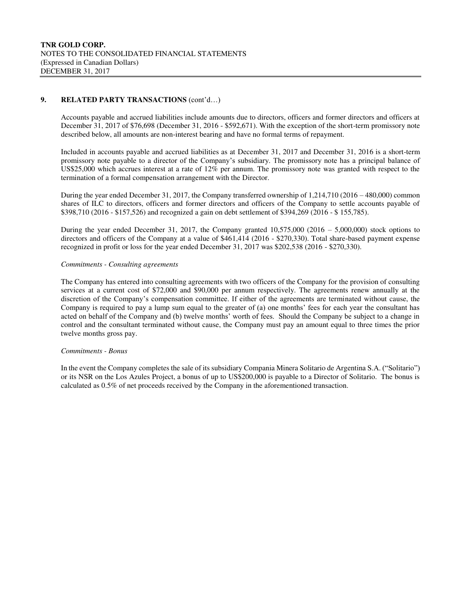## **9. RELATED PARTY TRANSACTIONS** (cont'd…)

Accounts payable and accrued liabilities include amounts due to directors, officers and former directors and officers at December 31, 2017 of \$76,698 (December 31, 2016 - \$592,671). With the exception of the short-term promissory note described below, all amounts are non-interest bearing and have no formal terms of repayment.

Included in accounts payable and accrued liabilities as at December 31, 2017 and December 31, 2016 is a short-term promissory note payable to a director of the Company's subsidiary. The promissory note has a principal balance of US\$25,000 which accrues interest at a rate of 12% per annum. The promissory note was granted with respect to the termination of a formal compensation arrangement with the Director.

During the year ended December 31, 2017, the Company transferred ownership of 1,214,710 (2016 – 480,000) common shares of ILC to directors, officers and former directors and officers of the Company to settle accounts payable of \$398,710 (2016 - \$157,526) and recognized a gain on debt settlement of \$394,269 (2016 - \$ 155,785).

During the year ended December 31, 2017, the Company granted  $10,575,000$  (2016 – 5,000,000) stock options to directors and officers of the Company at a value of \$461,414 (2016 - \$270,330). Total share-based payment expense recognized in profit or loss for the year ended December 31, 2017 was \$202,538 (2016 - \$270,330).

## *Commitments - Consulting agreements*

The Company has entered into consulting agreements with two officers of the Company for the provision of consulting services at a current cost of \$72,000 and \$90,000 per annum respectively. The agreements renew annually at the discretion of the Company's compensation committee. If either of the agreements are terminated without cause, the Company is required to pay a lump sum equal to the greater of (a) one months' fees for each year the consultant has acted on behalf of the Company and (b) twelve months' worth of fees. Should the Company be subject to a change in control and the consultant terminated without cause, the Company must pay an amount equal to three times the prior twelve months gross pay.

## *Commitments - Bonus*

In the event the Company completes the sale of its subsidiary Compania Minera Solitario de Argentina S.A. ("Solitario") or its NSR on the Los Azules Project, a bonus of up to US\$200,000 is payable to a Director of Solitario. The bonus is calculated as 0.5% of net proceeds received by the Company in the aforementioned transaction.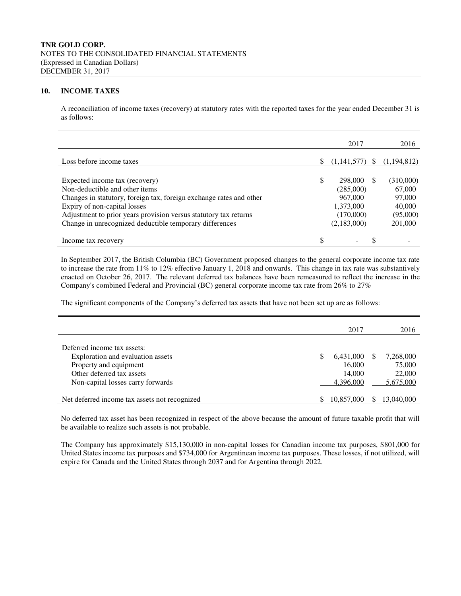## **10. INCOME TAXES**

A reconciliation of income taxes (recovery) at statutory rates with the reported taxes for the year ended December 31 is as follows:

|                                                                                                                                                                                                                                                                                                        |    | 2017                                                                     |     | 2016                                                           |
|--------------------------------------------------------------------------------------------------------------------------------------------------------------------------------------------------------------------------------------------------------------------------------------------------------|----|--------------------------------------------------------------------------|-----|----------------------------------------------------------------|
| Loss before income taxes                                                                                                                                                                                                                                                                               | S  | (1,141,577)                                                              | \$. | (1,194,812)                                                    |
| Expected income tax (recovery)<br>Non-deductible and other items<br>Changes in statutory, foreign tax, foreign exchange rates and other<br>Expiry of non-capital losses<br>Adjustment to prior years provision versus statutory tax returns<br>Change in unrecognized deductible temporary differences | \$ | 298,000<br>(285,000)<br>967,000<br>1,373,000<br>(170,000)<br>(2,183,000) |     | (310,000)<br>67,000<br>97,000<br>40,000<br>(95,000)<br>201,000 |
| Income tax recovery                                                                                                                                                                                                                                                                                    | S  |                                                                          |     |                                                                |

In September 2017, the British Columbia (BC) Government proposed changes to the general corporate income tax rate to increase the rate from 11% to 12% effective January 1, 2018 and onwards. This change in tax rate was substantively enacted on October 26, 2017. The relevant deferred tax balances have been remeasured to reflect the increase in the Company's combined Federal and Provincial (BC) general corporate income tax rate from 26% to 27%

The significant components of the Company's deferred tax assets that have not been set up are as follows:

|                                               |   | 2017       |     | 2016       |
|-----------------------------------------------|---|------------|-----|------------|
| Deferred income tax assets:                   |   |            |     |            |
| Exploration and evaluation assets             | S | 6,431,000  | \$. | 7,268,000  |
| Property and equipment                        |   | 16,000     |     | 75,000     |
| Other deferred tax assets                     |   | 14,000     |     | 22,000     |
| Non-capital losses carry forwards             |   | 4,396,000  |     | 5,675,000  |
|                                               |   |            |     |            |
| Net deferred income tax assets not recognized |   | 10,857,000 | S   | 13,040,000 |

No deferred tax asset has been recognized in respect of the above because the amount of future taxable profit that will be available to realize such assets is not probable.

The Company has approximately \$15,130,000 in non-capital losses for Canadian income tax purposes, \$801,000 for United States income tax purposes and \$734,000 for Argentinean income tax purposes. These losses, if not utilized, will expire for Canada and the United States through 2037 and for Argentina through 2022.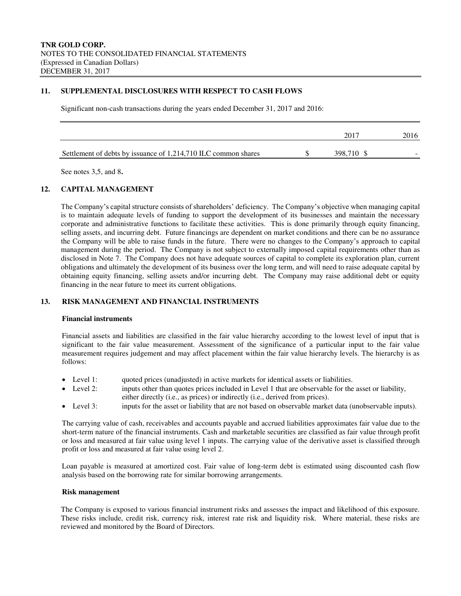## **11. SUPPLEMENTAL DISCLOSURES WITH RESPECT TO CASH FLOWS**

Significant non-cash transactions during the years ended December 31, 2017 and 2016:

|                                                                | 2017       | 2016 |
|----------------------------------------------------------------|------------|------|
| Settlement of debts by issuance of 1,214,710 ILC common shares | 398,710 \$ |      |

See notes 3,5, and 8**.** 

## **12. CAPITAL MANAGEMENT**

The Company's capital structure consists of shareholders' deficiency. The Company's objective when managing capital is to maintain adequate levels of funding to support the development of its businesses and maintain the necessary corporate and administrative functions to facilitate these activities. This is done primarily through equity financing, selling assets, and incurring debt. Future financings are dependent on market conditions and there can be no assurance the Company will be able to raise funds in the future. There were no changes to the Company's approach to capital management during the period. The Company is not subject to externally imposed capital requirements other than as disclosed in Note 7. The Company does not have adequate sources of capital to complete its exploration plan, current obligations and ultimately the development of its business over the long term, and will need to raise adequate capital by obtaining equity financing, selling assets and/or incurring debt. The Company may raise additional debt or equity financing in the near future to meet its current obligations.

## **13. RISK MANAGEMENT AND FINANCIAL INSTRUMENTS**

## **Financial instruments**

Financial assets and liabilities are classified in the fair value hierarchy according to the lowest level of input that is significant to the fair value measurement. Assessment of the significance of a particular input to the fair value measurement requires judgement and may affect placement within the fair value hierarchy levels. The hierarchy is as follows:

- Level 1: quoted prices (unadjusted) in active markets for identical assets or liabilities.
- Level 2: inputs other than quotes prices included in Level 1 that are observable for the asset or liability, either directly (i.e., as prices) or indirectly (i.e., derived from prices).
- Level 3: inputs for the asset or liability that are not based on observable market data (unobservable inputs).

The carrying value of cash, receivables and accounts payable and accrued liabilities approximates fair value due to the short-term nature of the financial instruments. Cash and marketable securities are classified as fair value through profit or loss and measured at fair value using level 1 inputs. The carrying value of the derivative asset is classified through profit or loss and measured at fair value using level 2.

Loan payable is measured at amortized cost. Fair value of long-term debt is estimated using discounted cash flow analysis based on the borrowing rate for similar borrowing arrangements.

#### **Risk management**

The Company is exposed to various financial instrument risks and assesses the impact and likelihood of this exposure. These risks include, credit risk, currency risk, interest rate risk and liquidity risk. Where material, these risks are reviewed and monitored by the Board of Directors.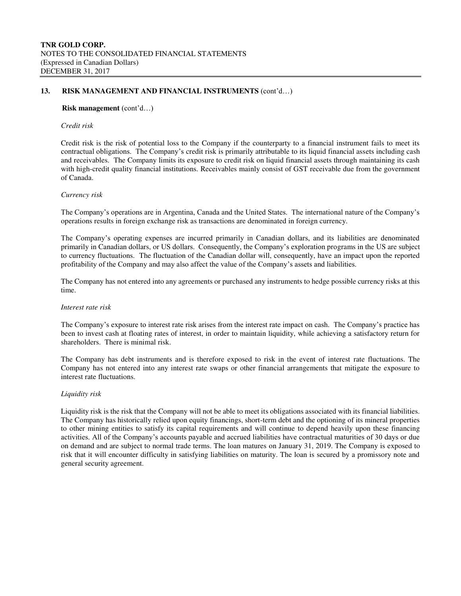## 13. RISK MANAGEMENT AND FINANCIAL INSTRUMENTS (cont'd...)

#### **Risk management** (cont'd…)

#### *Credit risk*

Credit risk is the risk of potential loss to the Company if the counterparty to a financial instrument fails to meet its contractual obligations. The Company's credit risk is primarily attributable to its liquid financial assets including cash and receivables. The Company limits its exposure to credit risk on liquid financial assets through maintaining its cash with high-credit quality financial institutions. Receivables mainly consist of GST receivable due from the government of Canada.

#### *Currency risk*

The Company's operations are in Argentina, Canada and the United States. The international nature of the Company's operations results in foreign exchange risk as transactions are denominated in foreign currency.

The Company's operating expenses are incurred primarily in Canadian dollars, and its liabilities are denominated primarily in Canadian dollars, or US dollars. Consequently, the Company's exploration programs in the US are subject to currency fluctuations. The fluctuation of the Canadian dollar will, consequently, have an impact upon the reported profitability of the Company and may also affect the value of the Company's assets and liabilities.

The Company has not entered into any agreements or purchased any instruments to hedge possible currency risks at this time.

#### *Interest rate risk*

The Company's exposure to interest rate risk arises from the interest rate impact on cash. The Company's practice has been to invest cash at floating rates of interest, in order to maintain liquidity, while achieving a satisfactory return for shareholders. There is minimal risk.

The Company has debt instruments and is therefore exposed to risk in the event of interest rate fluctuations. The Company has not entered into any interest rate swaps or other financial arrangements that mitigate the exposure to interest rate fluctuations.

## *Liquidity risk*

Liquidity risk is the risk that the Company will not be able to meet its obligations associated with its financial liabilities. The Company has historically relied upon equity financings, short-term debt and the optioning of its mineral properties to other mining entities to satisfy its capital requirements and will continue to depend heavily upon these financing activities. All of the Company's accounts payable and accrued liabilities have contractual maturities of 30 days or due on demand and are subject to normal trade terms. The loan matures on January 31, 2019. The Company is exposed to risk that it will encounter difficulty in satisfying liabilities on maturity. The loan is secured by a promissory note and general security agreement.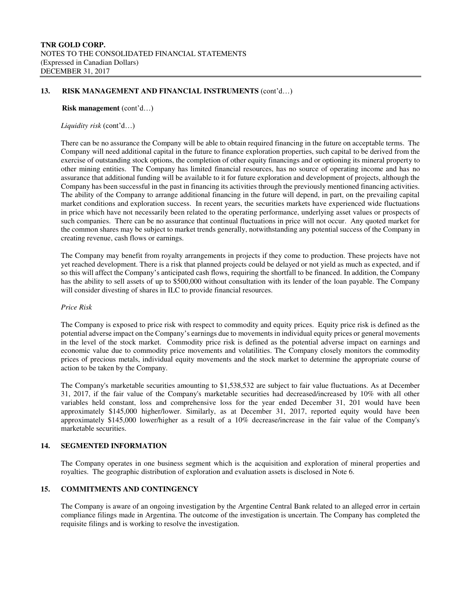## **13. RISK MANAGEMENT AND FINANCIAL INSTRUMENTS** (cont'd…)

#### **Risk management** (cont'd…)

#### *Liquidity risk* (cont'd…)

There can be no assurance the Company will be able to obtain required financing in the future on acceptable terms. The Company will need additional capital in the future to finance exploration properties, such capital to be derived from the exercise of outstanding stock options, the completion of other equity financings and or optioning its mineral property to other mining entities. The Company has limited financial resources, has no source of operating income and has no assurance that additional funding will be available to it for future exploration and development of projects, although the Company has been successful in the past in financing its activities through the previously mentioned financing activities. The ability of the Company to arrange additional financing in the future will depend, in part, on the prevailing capital market conditions and exploration success. In recent years, the securities markets have experienced wide fluctuations in price which have not necessarily been related to the operating performance, underlying asset values or prospects of such companies. There can be no assurance that continual fluctuations in price will not occur. Any quoted market for the common shares may be subject to market trends generally, notwithstanding any potential success of the Company in creating revenue, cash flows or earnings.

The Company may benefit from royalty arrangements in projects if they come to production. These projects have not yet reached development. There is a risk that planned projects could be delayed or not yield as much as expected, and if so this will affect the Company's anticipated cash flows, requiring the shortfall to be financed. In addition, the Company has the ability to sell assets of up to \$500,000 without consultation with its lender of the loan payable. The Company will consider divesting of shares in ILC to provide financial resources.

## *Price Risk*

The Company is exposed to price risk with respect to commodity and equity prices. Equity price risk is defined as the potential adverse impact on the Company's earnings due to movements in individual equity prices or general movements in the level of the stock market. Commodity price risk is defined as the potential adverse impact on earnings and economic value due to commodity price movements and volatilities. The Company closely monitors the commodity prices of precious metals, individual equity movements and the stock market to determine the appropriate course of action to be taken by the Company.

The Company's marketable securities amounting to \$1,538,532 are subject to fair value fluctuations. As at December 31, 2017, if the fair value of the Company's marketable securities had decreased/increased by 10% with all other variables held constant, loss and comprehensive loss for the year ended December 31, 201 would have been approximately \$145,000 higher/lower. Similarly, as at December 31, 2017, reported equity would have been approximately \$145,000 lower/higher as a result of a 10% decrease/increase in the fair value of the Company's marketable securities.

## **14. SEGMENTED INFORMATION**

The Company operates in one business segment which is the acquisition and exploration of mineral properties and royalties. The geographic distribution of exploration and evaluation assets is disclosed in Note 6.

## **15. COMMITMENTS AND CONTINGENCY**

The Company is aware of an ongoing investigation by the Argentine Central Bank related to an alleged error in certain compliance filings made in Argentina. The outcome of the investigation is uncertain. The Company has completed the requisite filings and is working to resolve the investigation.